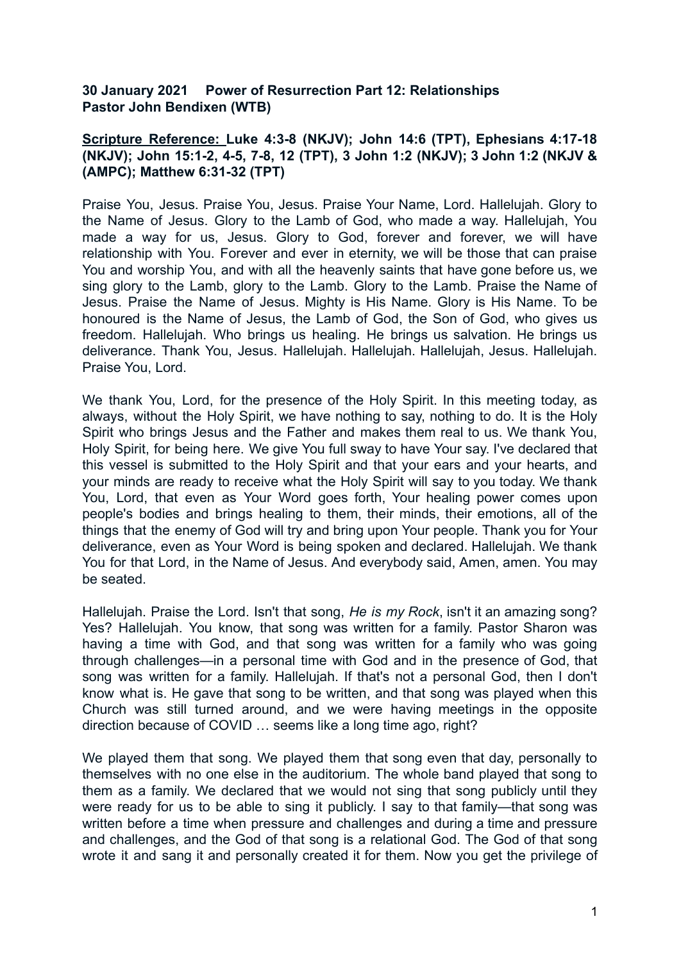## **30 January 2021 Power of Resurrection Part 12: Relationships Pastor John Bendixen (WTB)**

## **Scripture Reference: Luke 4:3-8 (NKJV); John 14:6 (TPT), Ephesians 4:17-18 (NKJV); John 15:1-2, 4-5, 7-8, 12 (TPT), 3 John 1:2 (NKJV); 3 John 1:2 (NKJV & (AMPC); Matthew 6:31-32 (TPT)**

Praise You, Jesus. Praise You, Jesus. Praise Your Name, Lord. Hallelujah. Glory to the Name of Jesus. Glory to the Lamb of God, who made a way. Hallelujah, You made a way for us, Jesus. Glory to God, forever and forever, we will have relationship with You. Forever and ever in eternity, we will be those that can praise You and worship You, and with all the heavenly saints that have gone before us, we sing glory to the Lamb, glory to the Lamb. Glory to the Lamb. Praise the Name of Jesus. Praise the Name of Jesus. Mighty is His Name. Glory is His Name. To be honoured is the Name of Jesus, the Lamb of God, the Son of God, who gives us freedom. Hallelujah. Who brings us healing. He brings us salvation. He brings us deliverance. Thank You, Jesus. Hallelujah. Hallelujah. Hallelujah, Jesus. Hallelujah. Praise You, Lord.

We thank You, Lord, for the presence of the Holy Spirit. In this meeting today, as always, without the Holy Spirit, we have nothing to say, nothing to do. It is the Holy Spirit who brings Jesus and the Father and makes them real to us. We thank You, Holy Spirit, for being here. We give You full sway to have Your say. I've declared that this vessel is submitted to the Holy Spirit and that your ears and your hearts, and your minds are ready to receive what the Holy Spirit will say to you today. We thank You, Lord, that even as Your Word goes forth, Your healing power comes upon people's bodies and brings healing to them, their minds, their emotions, all of the things that the enemy of God will try and bring upon Your people. Thank you for Your deliverance, even as Your Word is being spoken and declared. Hallelujah. We thank You for that Lord, in the Name of Jesus. And everybody said, Amen, amen. You may be seated.

Hallelujah. Praise the Lord. Isn't that song, *He is my Rock*, isn't it an amazing song? Yes? Hallelujah. You know, that song was written for a family. Pastor Sharon was having a time with God, and that song was written for a family who was going through challenges—in a personal time with God and in the presence of God, that song was written for a family. Hallelujah. If that's not a personal God, then I don't know what is. He gave that song to be written, and that song was played when this Church was still turned around, and we were having meetings in the opposite direction because of COVID … seems like a long time ago, right?

We played them that song. We played them that song even that day, personally to themselves with no one else in the auditorium. The whole band played that song to them as a family. We declared that we would not sing that song publicly until they were ready for us to be able to sing it publicly. I say to that family—that song was written before a time when pressure and challenges and during a time and pressure and challenges, and the God of that song is a relational God. The God of that song wrote it and sang it and personally created it for them. Now you get the privilege of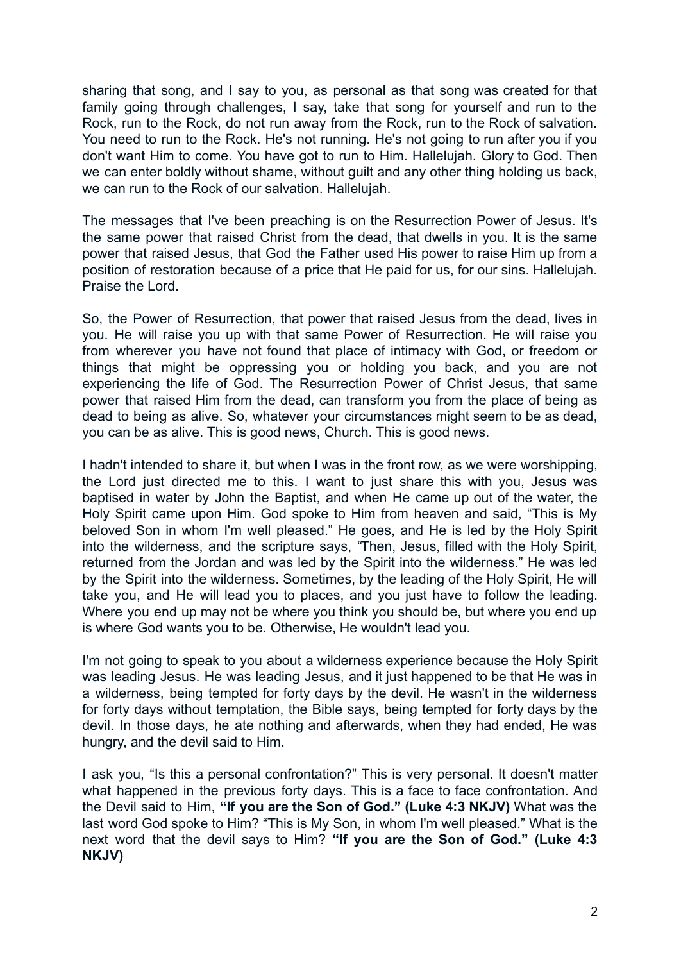sharing that song, and I say to you, as personal as that song was created for that family going through challenges, I say, take that song for yourself and run to the Rock, run to the Rock, do not run away from the Rock, run to the Rock of salvation. You need to run to the Rock. He's not running. He's not going to run after you if you don't want Him to come. You have got to run to Him. Hallelujah. Glory to God. Then we can enter boldly without shame, without guilt and any other thing holding us back. we can run to the Rock of our salvation. Hallelujah.

The messages that I've been preaching is on the Resurrection Power of Jesus. It's the same power that raised Christ from the dead, that dwells in you. It is the same power that raised Jesus, that God the Father used His power to raise Him up from a position of restoration because of a price that He paid for us, for our sins. Hallelujah. Praise the Lord.

So, the Power of Resurrection, that power that raised Jesus from the dead, lives in you. He will raise you up with that same Power of Resurrection. He will raise you from wherever you have not found that place of intimacy with God, or freedom or things that might be oppressing you or holding you back, and you are not experiencing the life of God. The Resurrection Power of Christ Jesus, that same power that raised Him from the dead, can transform you from the place of being as dead to being as alive. So, whatever your circumstances might seem to be as dead, you can be as alive. This is good news, Church. This is good news.

I hadn't intended to share it, but when I was in the front row, as we were worshipping, the Lord just directed me to this. I want to just share this with you, Jesus was baptised in water by John the Baptist, and when He came up out of the water, the Holy Spirit came upon Him. God spoke to Him from heaven and said, "This is My beloved Son in whom I'm well pleased." He goes, and He is led by the Holy Spirit into the wilderness, and the scripture says, *"*Then, Jesus, filled with the Holy Spirit, returned from the Jordan and was led by the Spirit into the wilderness." He was led by the Spirit into the wilderness. Sometimes, by the leading of the Holy Spirit, He will take you, and He will lead you to places, and you just have to follow the leading. Where you end up may not be where you think you should be, but where you end up is where God wants you to be. Otherwise, He wouldn't lead you.

I'm not going to speak to you about a wilderness experience because the Holy Spirit was leading Jesus. He was leading Jesus, and it just happened to be that He was in a wilderness, being tempted for forty days by the devil. He wasn't in the wilderness for forty days without temptation, the Bible says, being tempted for forty days by the devil. In those days, he ate nothing and afterwards, when they had ended, He was hungry, and the devil said to Him.

I ask you, "Is this a personal confrontation?" This is very personal. It doesn't matter what happened in the previous forty days. This is a face to face confrontation. And the Devil said to Him, **"If you are the Son of God." (Luke 4:3 NKJV)** What was the last word God spoke to Him? "This is My Son, in whom I'm well pleased." What is the next word that the devil says to Him? **"If you are the Son of God." (Luke 4:3 NKJV)**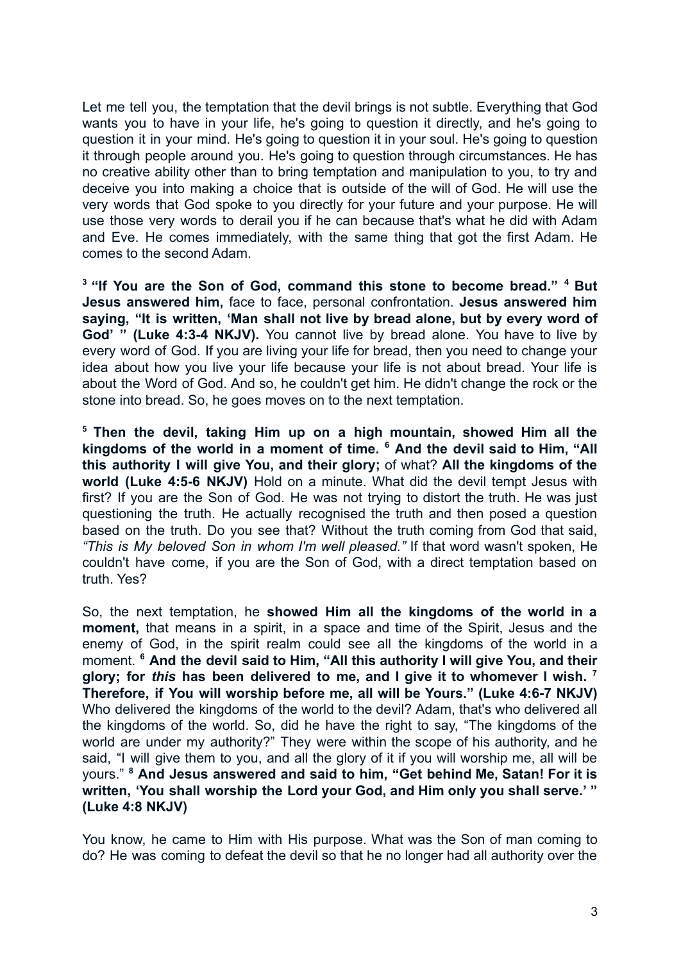Let me tell you, the temptation that the devil brings is not subtle. Everything that God wants you to have in your life, he's going to question it directly, and he's going to question it in your mind. He's going to question it in your soul. He's going to question it through people around you. He's going to question through circumstances. He has no creative ability other than to bring temptation and manipulation to you, to try and deceive you into making a choice that is outside of the will of God. He will use the very words that God spoke to you directly for your future and your purpose. He will use those very words to derail you if he can because that's what he did with Adam and Eve. He comes immediately, with the same thing that got the first Adam. He comes to the second Adam.

**<sup>3</sup> "If You are the Son of God, command this stone to become bread." <sup>4</sup> But Jesus answered him,** face to face, personal confrontation. **Jesus answered him saying, "It is written, 'Man shall not live by bread alone, but by every word of God' " (Luke 4:3-4 NKJV).** You cannot live by bread alone. You have to live by every word of God. If you are living your life for bread, then you need to change your idea about how you live your life because your life is not about bread. Your life is about the Word of God. And so, he couldn't get him. He didn't change the rock or the stone into bread. So, he goes moves on to the next temptation.

**<sup>5</sup> Then the devil, taking Him up on a high mountain, showed Him all the kingdoms of the world in a moment of time. <sup>6</sup> And the devil said to Him, "All this authority I will give You, and their glory;** of what? **All the kingdoms of the world (Luke 4:5-6 NKJV)** Hold on a minute. What did the devil tempt Jesus with first? If you are the Son of God. He was not trying to distort the truth. He was just questioning the truth. He actually recognised the truth and then posed a question based on the truth. Do you see that? Without the truth coming from God that said, *"This is My beloved Son in whom I'm well pleased."* If that word wasn't spoken, He couldn't have come, if you are the Son of God, with a direct temptation based on truth. Yes?

So, the next temptation, he **showed Him all the kingdoms of the world in a moment,** that means in a spirit, in a space and time of the Spirit, Jesus and the enemy of God, in the spirit realm could see all the kingdoms of the world in a moment. **<sup>6</sup> And the devil said to Him, "All this authority I will give You, and their glory; for** *this* **has been delivered to me, and I give it to whomever I wish. <sup>7</sup> Therefore, if You will worship before me, all will be Yours." (Luke 4:6-7 NKJV)** Who delivered the kingdoms of the world to the devil? Adam, that's who delivered all the kingdoms of the world. So, did he have the right to say, "The kingdoms of the world are under my authority?" They were within the scope of his authority, and he said, "I will give them to you, and all the glory of it if you will worship me, all will be yours." **<sup>8</sup> And Jesus answered and said to him, "Get behind Me, Satan! For it is written, 'You shall worship the Lord your God, and Him only you shall serve.' " (Luke 4:8 NKJV)**

You know, he came to Him with His purpose. What was the Son of man coming to do? He was coming to defeat the devil so that he no longer had all authority over the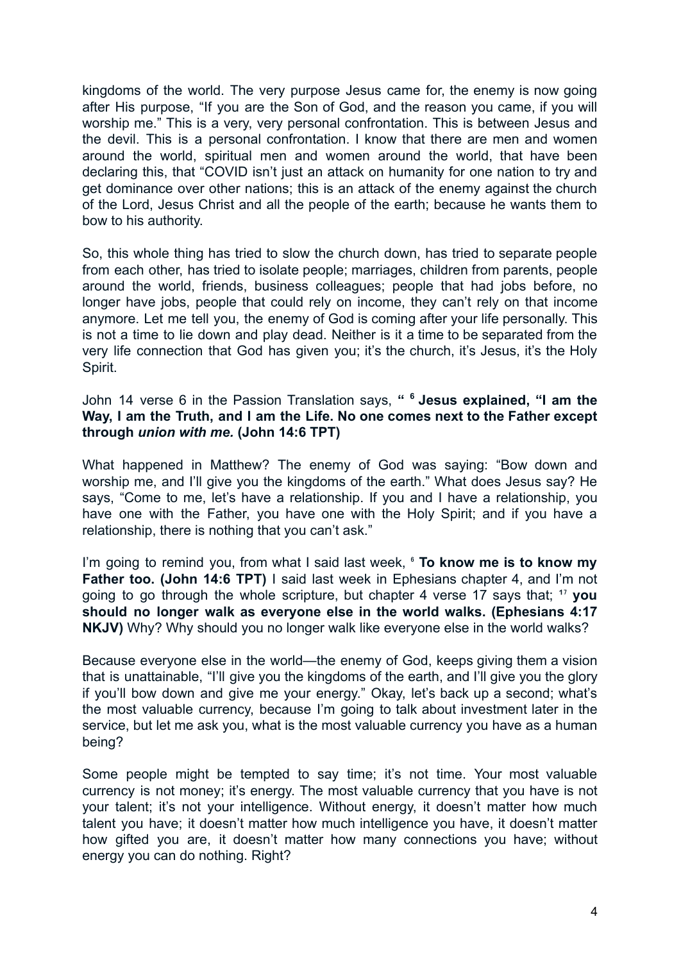kingdoms of the world. The very purpose Jesus came for, the enemy is now going after His purpose, "If you are the Son of God, and the reason you came, if you will worship me." This is a very, very personal confrontation. This is between Jesus and the devil. This is a personal confrontation. I know that there are men and women around the world, spiritual men and women around the world, that have been declaring this, that "COVID isn't just an attack on humanity for one nation to try and get dominance over other nations; this is an attack of the enemy against the church of the Lord, Jesus Christ and all the people of the earth; because he wants them to bow to his authority.

So, this whole thing has tried to slow the church down, has tried to separate people from each other, has tried to isolate people; marriages, children from parents, people around the world, friends, business colleagues; people that had jobs before, no longer have jobs, people that could rely on income, they can't rely on that income anymore. Let me tell you, the enemy of God is coming after your life personally. This is not a time to lie down and play dead. Neither is it a time to be separated from the very life connection that God has given you; it's the church, it's Jesus, it's the Holy Spirit.

John 14 verse 6 in the Passion Translation says, **" <sup>6</sup> Jesus explained, "I am the Way, I am the Truth, and I am the Life. No one comes next to the Father except through** *union with me.* **(John 14:6 TPT)**

What happened in Matthew? The enemy of God was saying: "Bow down and worship me, and I'll give you the kingdoms of the earth." What does Jesus say? He says, "Come to me, let's have a relationship. If you and I have a relationship, you have one with the Father, you have one with the Holy Spirit; and if you have a relationship, there is nothing that you can't ask."

I'm going to remind you, from what I said last week, ⁶ **To know me is to know my Father too. (John 14:6 TPT)** I said last week in Ephesians chapter 4, and I'm not going to go through the whole scripture, but chapter 4 verse 17 says that; <sup>17</sup> you **should no longer walk as everyone else in the world walks. (Ephesians 4:17 NKJV)** Why? Why should you no longer walk like everyone else in the world walks?

Because everyone else in the world—the enemy of God, keeps giving them a vision that is unattainable, "I'll give you the kingdoms of the earth, and I'll give you the glory if you'll bow down and give me your energy." Okay, let's back up a second; what's the most valuable currency, because I'm going to talk about investment later in the service, but let me ask you, what is the most valuable currency you have as a human being?

Some people might be tempted to say time; it's not time. Your most valuable currency is not money; it's energy. The most valuable currency that you have is not your talent; it's not your intelligence. Without energy, it doesn't matter how much talent you have; it doesn't matter how much intelligence you have, it doesn't matter how gifted you are, it doesn't matter how many connections you have; without energy you can do nothing. Right?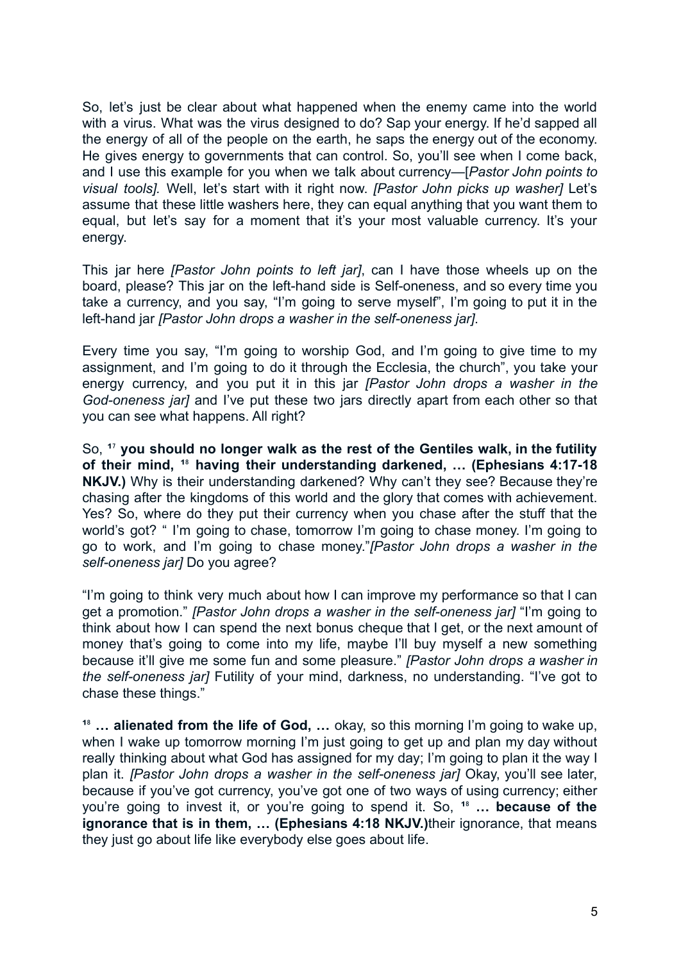So, let's just be clear about what happened when the enemy came into the world with a virus. What was the virus designed to do? Sap your energy. If he'd sapped all the energy of all of the people on the earth, he saps the energy out of the economy. He gives energy to governments that can control. So, you'll see when I come back, and I use this example for you when we talk about currency—[*Pastor John points to visual tools].* Well, let's start with it right now. *[Pastor John picks up washer]* Let's assume that these little washers here, they can equal anything that you want them to equal, but let's say for a moment that it's your most valuable currency. It's your energy.

This jar here *[Pastor John points to left jar]*, can I have those wheels up on the board, please? This jar on the left-hand side is Self-oneness, and so every time you take a currency, and you say, "I'm going to serve myself", I'm going to put it in the left-hand jar *[Pastor John drops a washer in the self-oneness jar]*.

Every time you say, "I'm going to worship God, and I'm going to give time to my assignment, and I'm going to do it through the Ecclesia, the church", you take your energy currency, and you put it in this jar *[Pastor John drops a washer in the God-oneness jar]* and I've put these two jars directly apart from each other so that you can see what happens. All right?

So, **¹**⁷ **you should no longer walk as the rest of the Gentiles walk, in the futility of their mind, ¹**⁸ **having their understanding darkened, … (Ephesians 4:17-18 NKJV.)** Why is their understanding darkened? Why can't they see? Because they're chasing after the kingdoms of this world and the glory that comes with achievement. Yes? So, where do they put their currency when you chase after the stuff that the world's got? " I'm going to chase, tomorrow I'm going to chase money. I'm going to go to work, and I'm going to chase money."*[Pastor John drops a washer in the self-oneness jar]* Do you agree?

"I'm going to think very much about how I can improve my performance so that I can get a promotion." *[Pastor John drops a washer in the self-oneness jar]* "I'm going to think about how I can spend the next bonus cheque that I get, or the next amount of money that's going to come into my life, maybe I'll buy myself a new something because it'll give me some fun and some pleasure." *[Pastor John drops a washer in the self-oneness jar]* Futility of your mind, darkness, no understanding. "I've got to chase these things."

**¹**⁸ **… alienated from the life of God, …** okay, so this morning I'm going to wake up, when I wake up tomorrow morning I'm just going to get up and plan my day without really thinking about what God has assigned for my day; I'm going to plan it the way I plan it. *[Pastor John drops a washer in the self-oneness jar]* Okay, you'll see later, because if you've got currency, you've got one of two ways of using currency; either you're going to invest it, or you're going to spend it. So, **¹**⁸ **… because of the ignorance that is in them, … (Ephesians 4:18 NKJV.)**their ignorance, that means they just go about life like everybody else goes about life.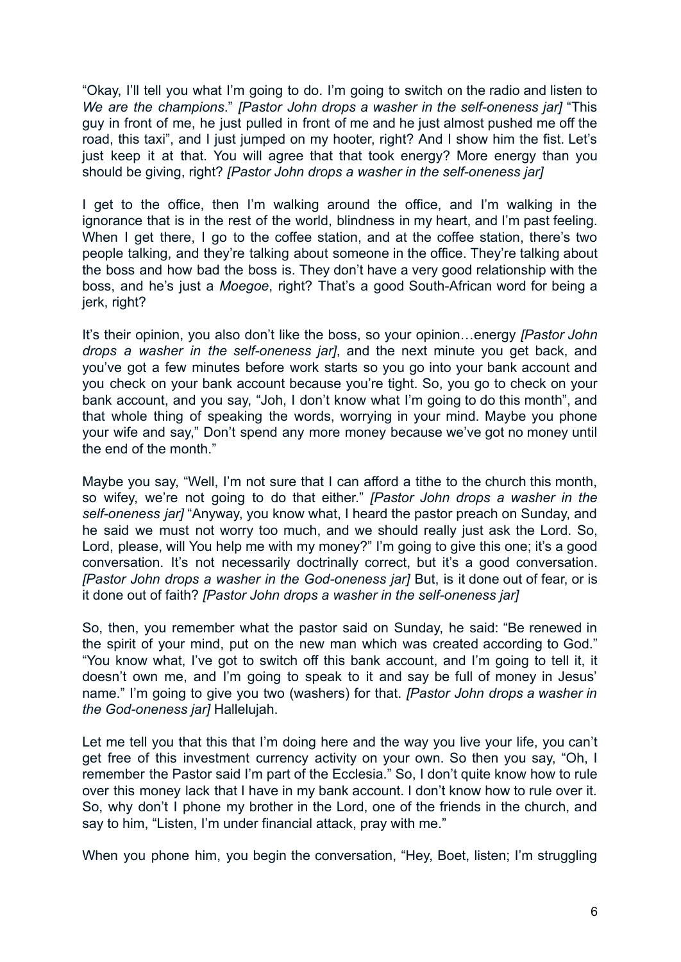"Okay, I'll tell you what I'm going to do. I'm going to switch on the radio and listen to *We are the champions*." *[Pastor John drops a washer in the self-oneness jar]* "This guy in front of me, he just pulled in front of me and he just almost pushed me off the road, this taxi", and I just jumped on my hooter, right? And I show him the fist. Let's just keep it at that. You will agree that that took energy? More energy than you should be giving, right? *[Pastor John drops a washer in the self-oneness jar]*

I get to the office, then I'm walking around the office, and I'm walking in the ignorance that is in the rest of the world, blindness in my heart, and I'm past feeling. When I get there. I go to the coffee station, and at the coffee station, there's two people talking, and they're talking about someone in the office. They're talking about the boss and how bad the boss is. They don't have a very good relationship with the boss, and he's just a *Moegoe*, right? That's a good South-African word for being a jerk, right?

It's their opinion, you also don't like the boss, so your opinion…energy *[Pastor John drops a washer in the self-oneness jar]*, and the next minute you get back, and you've got a few minutes before work starts so you go into your bank account and you check on your bank account because you're tight. So, you go to check on your bank account, and you say, "Joh, I don't know what I'm going to do this month", and that whole thing of speaking the words, worrying in your mind. Maybe you phone your wife and say," Don't spend any more money because we've got no money until the end of the month."

Maybe you say, "Well, I'm not sure that I can afford a tithe to the church this month, so wifey, we're not going to do that either." *[Pastor John drops a washer in the self-oneness jar]* "Anyway, you know what, I heard the pastor preach on Sunday, and he said we must not worry too much, and we should really just ask the Lord. So, Lord, please, will You help me with my money?" I'm going to give this one; it's a good conversation. It's not necessarily doctrinally correct, but it's a good conversation. *[Pastor John drops a washer in the God-oneness jar]* But, is it done out of fear, or is it done out of faith? *[Pastor John drops a washer in the self-oneness jar]*

So, then, you remember what the pastor said on Sunday, he said: "Be renewed in the spirit of your mind, put on the new man which was created according to God." "You know what, I've got to switch off this bank account, and I'm going to tell it, it doesn't own me, and I'm going to speak to it and say be full of money in Jesus' name." I'm going to give you two (washers) for that. *[Pastor John drops a washer in the God-oneness jar]* Hallelujah.

Let me tell you that this that I'm doing here and the way you live your life, you can't get free of this investment currency activity on your own. So then you say, "Oh, I remember the Pastor said I'm part of the Ecclesia." So, I don't quite know how to rule over this money lack that I have in my bank account. I don't know how to rule over it. So, why don't I phone my brother in the Lord, one of the friends in the church, and say to him, "Listen, I'm under financial attack, pray with me."

When you phone him, you begin the conversation, "Hey, Boet, listen; I'm struggling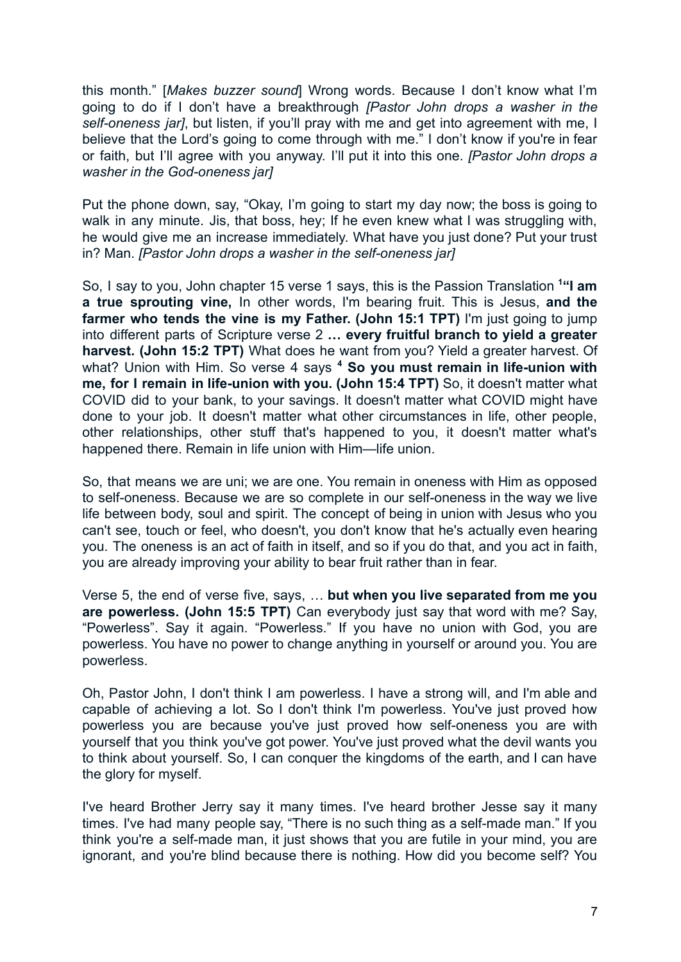this month." [*Makes buzzer sound*] Wrong words. Because I don't know what I'm going to do if I don't have a breakthrough *[Pastor John drops a washer in the self-oneness jar]*, but listen, if you'll pray with me and get into agreement with me, I believe that the Lord's going to come through with me." I don't know if you're in fear or faith, but I'll agree with you anyway. I'll put it into this one. *[Pastor John drops a washer in the God-oneness jar]*

Put the phone down, say, "Okay, I'm going to start my day now; the boss is going to walk in any minute. Jis, that boss, hey; If he even knew what I was struggling with, he would give me an increase immediately. What have you just done? Put your trust in? Man. *[Pastor John drops a washer in the self-oneness jar]*

So, I say to you, John chapter 15 verse 1 says, this is the Passion Translation **<sup>1</sup>"I am a true sprouting vine,** In other words, I'm bearing fruit. This is Jesus, **and the farmer who tends the vine is my Father. (John 15:1 TPT)** I'm just going to jump into different parts of Scripture verse 2 **… every fruitful branch to yield a greater harvest. (John 15:2 TPT)** What does he want from you? Yield a greater harvest. Of what? Union with Him. So verse 4 says **<sup>4</sup> So you must remain in life-union with me, for I remain in life-union with you. (John 15:4 TPT)** So, it doesn't matter what COVID did to your bank, to your savings. It doesn't matter what COVID might have done to your job. It doesn't matter what other circumstances in life, other people, other relationships, other stuff that's happened to you, it doesn't matter what's happened there. Remain in life union with Him—life union.

So, that means we are uni; we are one. You remain in oneness with Him as opposed to self-oneness. Because we are so complete in our self-oneness in the way we live life between body, soul and spirit. The concept of being in union with Jesus who you can't see, touch or feel, who doesn't, you don't know that he's actually even hearing you. The oneness is an act of faith in itself, and so if you do that, and you act in faith, you are already improving your ability to bear fruit rather than in fear.

Verse 5, the end of verse five, says, … **but when you live separated from me you are powerless. (John 15:5 TPT)** Can everybody just say that word with me? Say, "Powerless". Say it again. "Powerless." If you have no union with God, you are powerless. You have no power to change anything in yourself or around you. You are powerless.

Oh, Pastor John, I don't think I am powerless. I have a strong will, and I'm able and capable of achieving a lot. So I don't think I'm powerless. You've just proved how powerless you are because you've just proved how self-oneness you are with yourself that you think you've got power. You've just proved what the devil wants you to think about yourself. So, I can conquer the kingdoms of the earth, and I can have the glory for myself.

I've heard Brother Jerry say it many times. I've heard brother Jesse say it many times. I've had many people say, "There is no such thing as a self-made man." If you think you're a self-made man, it just shows that you are futile in your mind, you are ignorant, and you're blind because there is nothing. How did you become self? You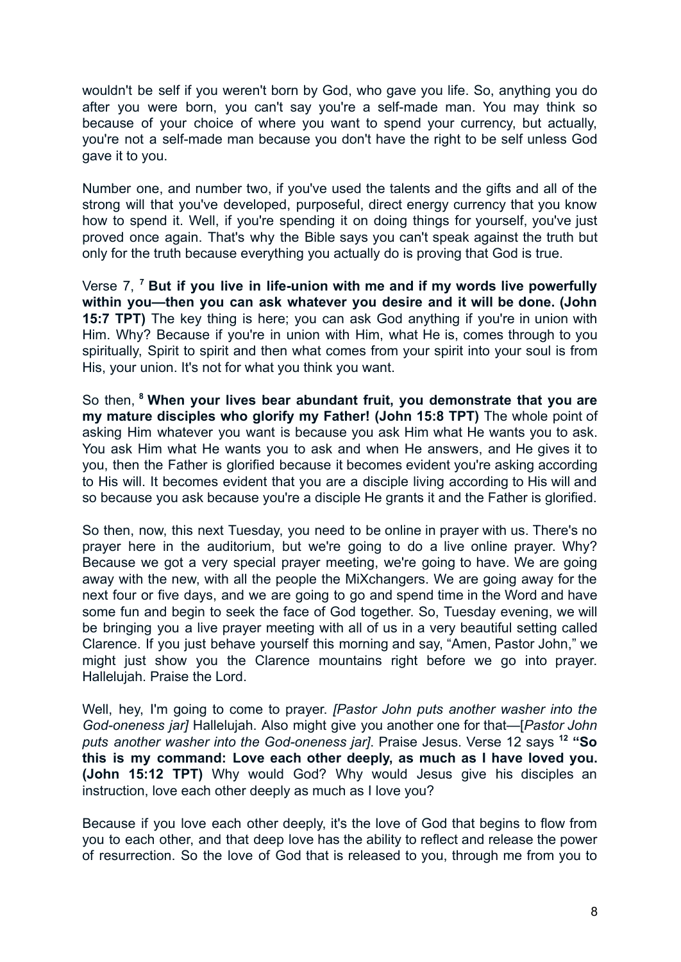wouldn't be self if you weren't born by God, who gave you life. So, anything you do after you were born, you can't say you're a self-made man. You may think so because of your choice of where you want to spend your currency, but actually, you're not a self-made man because you don't have the right to be self unless God gave it to you.

Number one, and number two, if you've used the talents and the gifts and all of the strong will that you've developed, purposeful, direct energy currency that you know how to spend it. Well, if you're spending it on doing things for yourself, you've just proved once again. That's why the Bible says you can't speak against the truth but only for the truth because everything you actually do is proving that God is true.

Verse 7, **<sup>7</sup> But if you live in life-union with me and if my words live powerfully within you—then you can ask whatever you desire and it will be done. (John 15:7 TPT)** The key thing is here; you can ask God anything if you're in union with Him. Why? Because if you're in union with Him, what He is, comes through to you spiritually, Spirit to spirit and then what comes from your spirit into your soul is from His, your union. It's not for what you think you want.

So then, **<sup>8</sup> When your lives bear abundant fruit, you demonstrate that you are my mature disciples who glorify my Father! (John 15:8 TPT)** The whole point of asking Him whatever you want is because you ask Him what He wants you to ask. You ask Him what He wants you to ask and when He answers, and He gives it to you, then the Father is glorified because it becomes evident you're asking according to His will. It becomes evident that you are a disciple living according to His will and so because you ask because you're a disciple He grants it and the Father is glorified.

So then, now, this next Tuesday, you need to be online in prayer with us. There's no prayer here in the auditorium, but we're going to do a live online prayer. Why? Because we got a very special prayer meeting, we're going to have. We are going away with the new, with all the people the MiXchangers. We are going away for the next four or five days, and we are going to go and spend time in the Word and have some fun and begin to seek the face of God together. So, Tuesday evening, we will be bringing you a live prayer meeting with all of us in a very beautiful setting called Clarence. If you just behave yourself this morning and say, "Amen, Pastor John," we might just show you the Clarence mountains right before we go into prayer. Hallelujah. Praise the Lord.

Well, hey, I'm going to come to prayer. *[Pastor John puts another washer into the God-oneness jar]* Hallelujah. Also might give you another one for that—[*Pastor John puts another washer into the God-oneness jar]*. Praise Jesus. Verse 12 says **<sup>12</sup> "So this is my command: Love each other deeply, as much as I have loved you. (John 15:12 TPT)** Why would God? Why would Jesus give his disciples an instruction, love each other deeply as much as I love you?

Because if you love each other deeply, it's the love of God that begins to flow from you to each other, and that deep love has the ability to reflect and release the power of resurrection. So the love of God that is released to you, through me from you to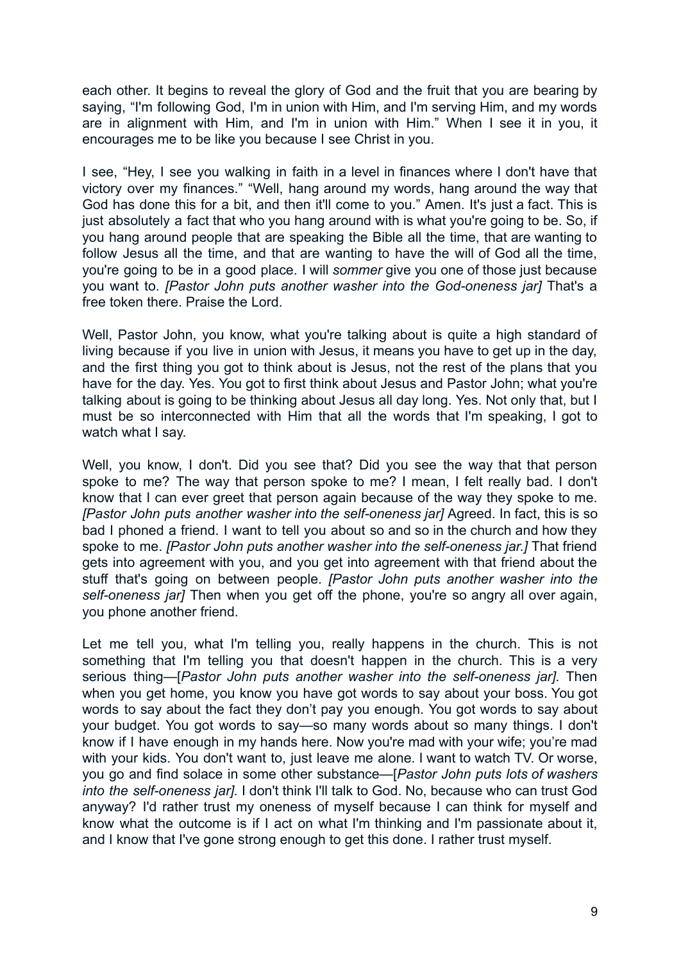each other. It begins to reveal the glory of God and the fruit that you are bearing by saying, "I'm following God, I'm in union with Him, and I'm serving Him, and my words are in alignment with Him, and I'm in union with Him." When I see it in you, it encourages me to be like you because I see Christ in you.

I see, "Hey, I see you walking in faith in a level in finances where I don't have that victory over my finances." "Well, hang around my words, hang around the way that God has done this for a bit, and then it'll come to you." Amen. It's just a fact. This is just absolutely a fact that who you hang around with is what you're going to be. So, if you hang around people that are speaking the Bible all the time, that are wanting to follow Jesus all the time, and that are wanting to have the will of God all the time, you're going to be in a good place. I will *sommer* give you one of those just because you want to. *[Pastor John puts another washer into the God-oneness jar]* That's a free token there. Praise the Lord.

Well, Pastor John, you know, what you're talking about is quite a high standard of living because if you live in union with Jesus, it means you have to get up in the day, and the first thing you got to think about is Jesus, not the rest of the plans that you have for the day. Yes. You got to first think about Jesus and Pastor John; what you're talking about is going to be thinking about Jesus all day long. Yes. Not only that, but I must be so interconnected with Him that all the words that I'm speaking, I got to watch what I say.

Well, you know, I don't. Did you see that? Did you see the way that that person spoke to me? The way that person spoke to me? I mean, I felt really bad. I don't know that I can ever greet that person again because of the way they spoke to me. *[Pastor John puts another washer into the self-oneness jar]* Agreed. In fact, this is so bad I phoned a friend. I want to tell you about so and so in the church and how they spoke to me. *[Pastor John puts another washer into the self-oneness jar.]* That friend gets into agreement with you, and you get into agreement with that friend about the stuff that's going on between people. *[Pastor John puts another washer into the self-oneness jar]* Then when you get off the phone, you're so angry all over again, you phone another friend.

Let me tell you, what I'm telling you, really happens in the church. This is not something that I'm telling you that doesn't happen in the church. This is a very serious thing—[*Pastor John puts another washer into the self-oneness jar].* Then when you get home, you know you have got words to say about your boss. You got words to say about the fact they don't pay you enough. You got words to say about your budget. You got words to say—so many words about so many things. I don't know if I have enough in my hands here. Now you're mad with your wife; you're mad with your kids. You don't want to, just leave me alone. I want to watch TV. Or worse, you go and find solace in some other substance—[*Pastor John puts lots of washers into the self-oneness jar].* I don't think I'll talk to God. No, because who can trust God anyway? I'd rather trust my oneness of myself because I can think for myself and know what the outcome is if I act on what I'm thinking and I'm passionate about it, and I know that I've gone strong enough to get this done. I rather trust myself.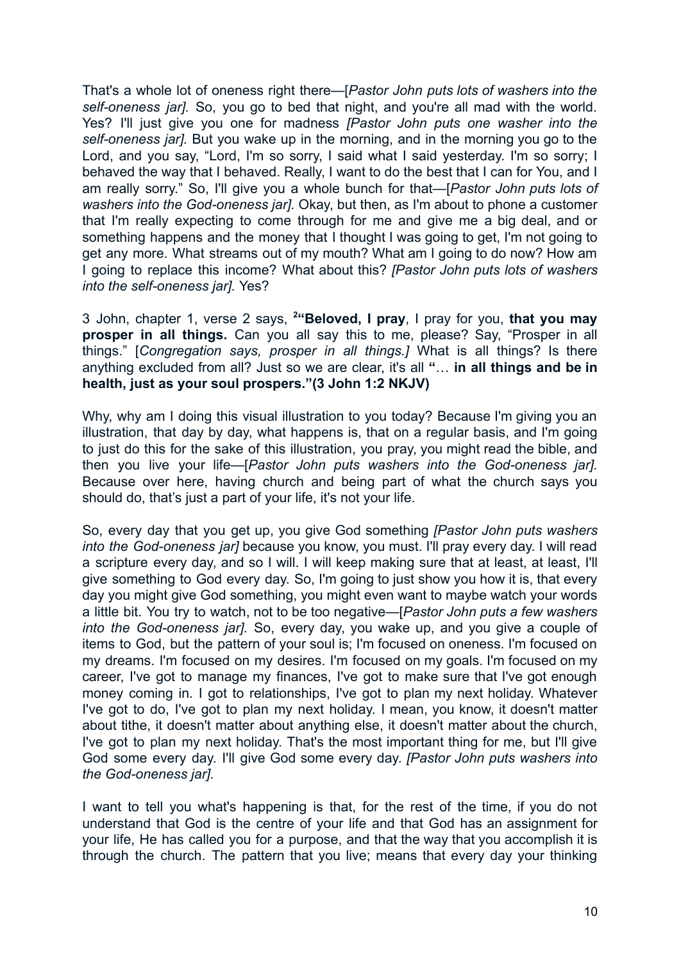That's a whole lot of oneness right there—[*Pastor John puts lots of washers into the self-oneness jar].* So, you go to bed that night, and you're all mad with the world. Yes? I'll just give you one for madness *[Pastor John puts one washer into the self-oneness jar].* But you wake up in the morning, and in the morning you go to the Lord, and you say, "Lord, I'm so sorry, I said what I said yesterday. I'm so sorry; I behaved the way that I behaved. Really, I want to do the best that I can for You, and I am really sorry." So, I'll give you a whole bunch for that—[*Pastor John puts lots of washers into the God-oneness jar].* Okay, but then, as I'm about to phone a customer that I'm really expecting to come through for me and give me a big deal, and or something happens and the money that I thought I was going to get, I'm not going to get any more. What streams out of my mouth? What am I going to do now? How am I going to replace this income? What about this? *[Pastor John puts lots of washers into the self-oneness jar].* Yes?

3 John, chapter 1, verse 2 says, **<sup>2</sup>"Beloved, I pray**, I pray for you, **that you may prosper in all things.** Can you all say this to me, please? Say, "Prosper in all things." [*Congregation says, prosper in all things.]* What is all things? Is there anything excluded from all? Just so we are clear, it's all **"**… **in all things and be in health, just as your soul prospers."(3 John 1:2 NKJV)**

Why, why am I doing this visual illustration to you today? Because I'm giving you an illustration, that day by day, what happens is, that on a regular basis, and I'm going to just do this for the sake of this illustration, you pray, you might read the bible, and then you live your life—[*Pastor John puts washers into the God-oneness jar].* Because over here, having church and being part of what the church says you should do, that's just a part of your life, it's not your life.

So, every day that you get up, you give God something *[Pastor John puts washers into the God-oneness jar]* because you know, you must. I'll pray every day. I will read a scripture every day, and so I will. I will keep making sure that at least, at least, I'll give something to God every day. So, I'm going to just show you how it is, that every day you might give God something, you might even want to maybe watch your words a little bit. You try to watch, not to be too negative—[*Pastor John puts a few washers into the God-oneness jar].* So, every day, you wake up, and you give a couple of items to God, but the pattern of your soul is; I'm focused on oneness. I'm focused on my dreams. I'm focused on my desires. I'm focused on my goals. I'm focused on my career, I've got to manage my finances, I've got to make sure that I've got enough money coming in. I got to relationships, I've got to plan my next holiday. Whatever I've got to do, I've got to plan my next holiday. I mean, you know, it doesn't matter about tithe, it doesn't matter about anything else, it doesn't matter about the church, I've got to plan my next holiday. That's the most important thing for me, but I'll give God some every day. I'll give God some every day. *[Pastor John puts washers into the God-oneness jar].*

I want to tell you what's happening is that, for the rest of the time, if you do not understand that God is the centre of your life and that God has an assignment for your life, He has called you for a purpose, and that the way that you accomplish it is through the church. The pattern that you live; means that every day your thinking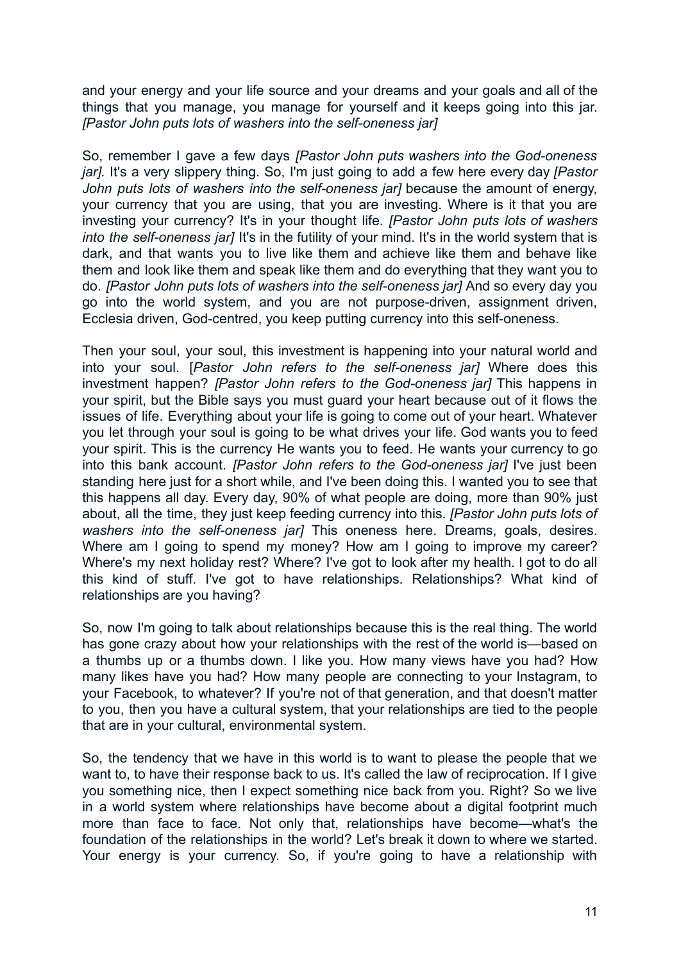and your energy and your life source and your dreams and your goals and all of the things that you manage, you manage for yourself and it keeps going into this jar. *[Pastor John puts lots of washers into the self-oneness jar]*

So, remember I gave a few days *[Pastor John puts washers into the God-oneness jar].* It's a very slippery thing. So, I'm just going to add a few here every day *[Pastor John puts lots of washers into the self-oneness jar]* because the amount of energy, your currency that you are using, that you are investing. Where is it that you are investing your currency? It's in your thought life. *[Pastor John puts lots of washers into the self-oneness jar]* It's in the futility of your mind. It's in the world system that is dark, and that wants you to live like them and achieve like them and behave like them and look like them and speak like them and do everything that they want you to do. *[Pastor John puts lots of washers into the self-oneness jar]* And so every day you go into the world system, and you are not purpose-driven, assignment driven, Ecclesia driven, God-centred, you keep putting currency into this self-oneness.

Then your soul, your soul, this investment is happening into your natural world and into your soul. [*Pastor John refers to the self-oneness jar]* Where does this investment happen? *[Pastor John refers to the God-oneness jar]* This happens in your spirit, but the Bible says you must guard your heart because out of it flows the issues of life. Everything about your life is going to come out of your heart. Whatever you let through your soul is going to be what drives your life. God wants you to feed your spirit. This is the currency He wants you to feed. He wants your currency to go into this bank account. *[Pastor John refers to the God-oneness jar]* I've just been standing here just for a short while, and I've been doing this. I wanted you to see that this happens all day. Every day, 90% of what people are doing, more than 90% just about, all the time, they just keep feeding currency into this. *[Pastor John puts lots of washers into the self-oneness jar]* This oneness here. Dreams, goals, desires. Where am I going to spend my money? How am I going to improve my career? Where's my next holiday rest? Where? I've got to look after my health. I got to do all this kind of stuff. I've got to have relationships. Relationships? What kind of relationships are you having?

So, now I'm going to talk about relationships because this is the real thing. The world has gone crazy about how your relationships with the rest of the world is—based on a thumbs up or a thumbs down. I like you. How many views have you had? How many likes have you had? How many people are connecting to your Instagram, to your Facebook, to whatever? If you're not of that generation, and that doesn't matter to you, then you have a cultural system, that your relationships are tied to the people that are in your cultural, environmental system.

So, the tendency that we have in this world is to want to please the people that we want to, to have their response back to us. It's called the law of reciprocation. If I give you something nice, then I expect something nice back from you. Right? So we live in a world system where relationships have become about a digital footprint much more than face to face. Not only that, relationships have become—what's the foundation of the relationships in the world? Let's break it down to where we started. Your energy is your currency. So, if you're going to have a relationship with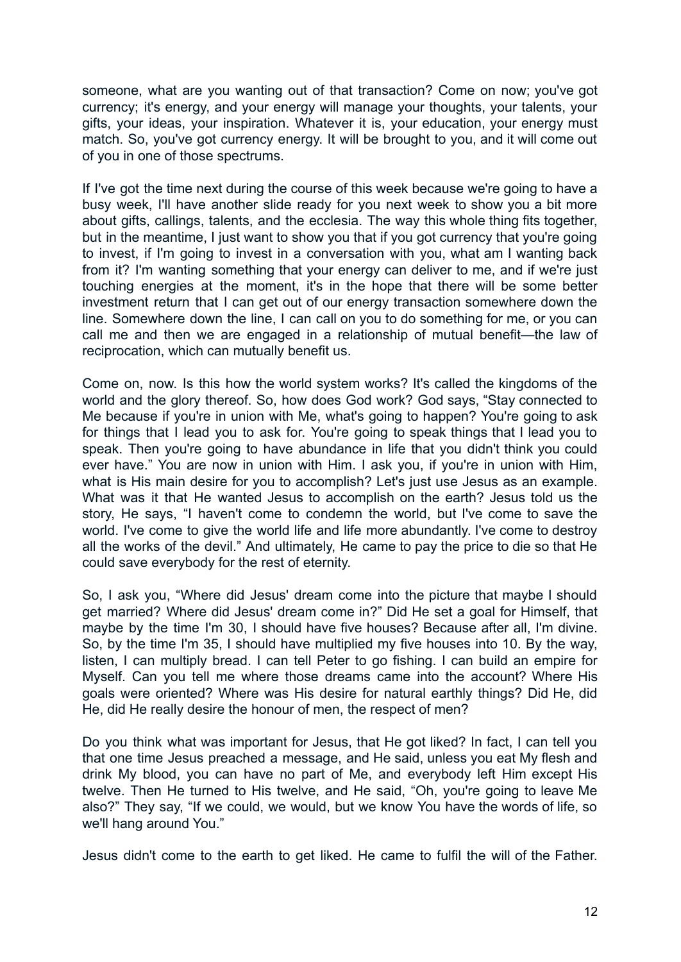someone, what are you wanting out of that transaction? Come on now; you've got currency; it's energy, and your energy will manage your thoughts, your talents, your gifts, your ideas, your inspiration. Whatever it is, your education, your energy must match. So, you've got currency energy. It will be brought to you, and it will come out of you in one of those spectrums.

If I've got the time next during the course of this week because we're going to have a busy week, I'll have another slide ready for you next week to show you a bit more about gifts, callings, talents, and the ecclesia. The way this whole thing fits together, but in the meantime, I just want to show you that if you got currency that you're going to invest, if I'm going to invest in a conversation with you, what am I wanting back from it? I'm wanting something that your energy can deliver to me, and if we're just touching energies at the moment, it's in the hope that there will be some better investment return that I can get out of our energy transaction somewhere down the line. Somewhere down the line, I can call on you to do something for me, or you can call me and then we are engaged in a relationship of mutual benefit—the law of reciprocation, which can mutually benefit us.

Come on, now. Is this how the world system works? It's called the kingdoms of the world and the glory thereof. So, how does God work? God says, "Stay connected to Me because if you're in union with Me, what's going to happen? You're going to ask for things that I lead you to ask for. You're going to speak things that I lead you to speak. Then you're going to have abundance in life that you didn't think you could ever have." You are now in union with Him. I ask you, if you're in union with Him, what is His main desire for you to accomplish? Let's just use Jesus as an example. What was it that He wanted Jesus to accomplish on the earth? Jesus told us the story, He says, "I haven't come to condemn the world, but I've come to save the world. I've come to give the world life and life more abundantly. I've come to destroy all the works of the devil." And ultimately, He came to pay the price to die so that He could save everybody for the rest of eternity.

So, I ask you, "Where did Jesus' dream come into the picture that maybe I should get married? Where did Jesus' dream come in?" Did He set a goal for Himself, that maybe by the time I'm 30, I should have five houses? Because after all, I'm divine. So, by the time I'm 35, I should have multiplied my five houses into 10. By the way, listen, I can multiply bread. I can tell Peter to go fishing. I can build an empire for Myself. Can you tell me where those dreams came into the account? Where His goals were oriented? Where was His desire for natural earthly things? Did He, did He, did He really desire the honour of men, the respect of men?

Do you think what was important for Jesus, that He got liked? In fact, I can tell you that one time Jesus preached a message, and He said, unless you eat My flesh and drink My blood, you can have no part of Me, and everybody left Him except His twelve. Then He turned to His twelve, and He said, "Oh, you're going to leave Me also?" They say, "If we could, we would, but we know You have the words of life, so we'll hang around You."

Jesus didn't come to the earth to get liked. He came to fulfil the will of the Father.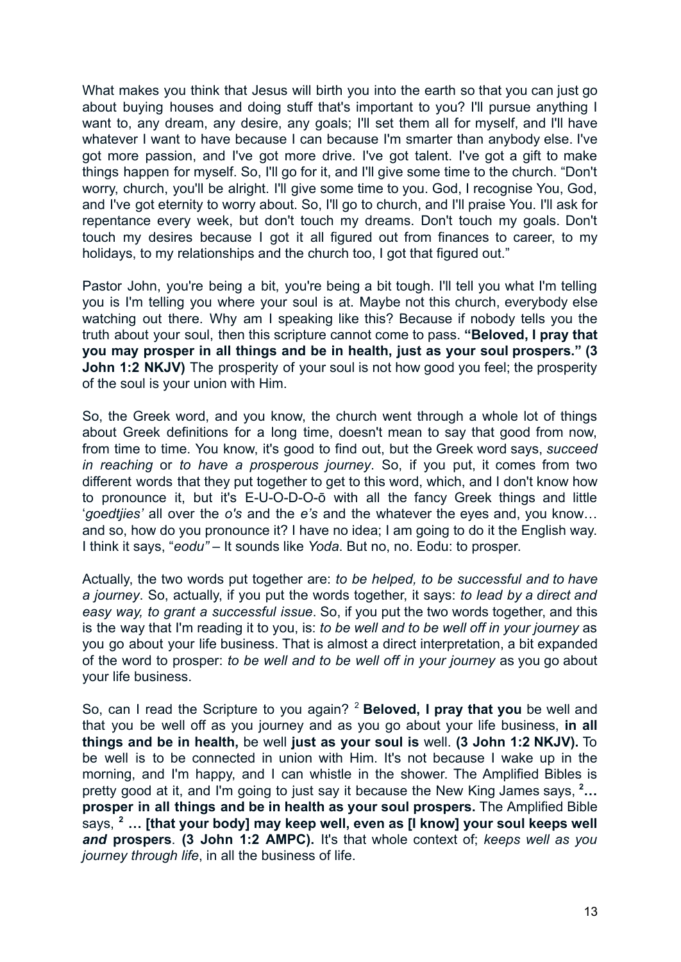What makes you think that Jesus will birth you into the earth so that you can just go about buying houses and doing stuff that's important to you? I'll pursue anything I want to, any dream, any desire, any goals; I'll set them all for myself, and I'll have whatever I want to have because I can because I'm smarter than anybody else. I've got more passion, and I've got more drive. I've got talent. I've got a gift to make things happen for myself. So, I'll go for it, and I'll give some time to the church. "Don't worry, church, you'll be alright. I'll give some time to you. God, I recognise You, God, and I've got eternity to worry about. So, I'll go to church, and I'll praise You. I'll ask for repentance every week, but don't touch my dreams. Don't touch my goals. Don't touch my desires because I got it all figured out from finances to career, to my holidays, to my relationships and the church too. I got that figured out."

Pastor John, you're being a bit, you're being a bit tough. I'll tell you what I'm telling you is I'm telling you where your soul is at. Maybe not this church, everybody else watching out there. Why am I speaking like this? Because if nobody tells you the truth about your soul, then this scripture cannot come to pass. **"Beloved, I pray that you may prosper in all things and be in health, just as your soul prospers." (3 John 1:2 NKJV)** The prosperity of your soul is not how good you feel; the prosperity of the soul is your union with Him.

So, the Greek word, and you know, the church went through a whole lot of things about Greek definitions for a long time, doesn't mean to say that good from now, from time to time. You know, it's good to find out, but the Greek word says, *succeed in reaching* or *to have a prosperous journey*. So, if you put, it comes from two different words that they put together to get to this word, which, and I don't know how to pronounce it, but it's E-U-O-D-O-ō with all the fancy Greek things and little '*goedtjies'* all over the *o's* and the *e's* and the whatever the eyes and, you know… and so, how do you pronounce it? I have no idea; I am going to do it the English way. I think it says, "*eodu"* – It sounds like *Yoda*. But no, no. Eodu: to prosper.

Actually, the two words put together are: *to be helped, to be successful and to have a journey*. So, actually, if you put the words together, it says: *to lead by a direct and easy way, to grant a successful issue*. So, if you put the two words together, and this is the way that I'm reading it to you, is: *to be well and to be well off in your journey* as you go about your life business. That is almost a direct interpretation, a bit expanded of the word to prosper: *to be well and to be well off in your journey* as you go about your life business.

So, can I read the Scripture to you again? <sup>2</sup> **Beloved, I pray that you** be well and that you be well off as you journey and as you go about your life business, **in all things and be in health,** be well **just as your soul is** well. **(3 John 1:2 NKJV).** To be well is to be connected in union with Him. It's not because I wake up in the morning, and I'm happy, and I can whistle in the shower. The Amplified Bibles is pretty good at it, and I'm going to just say it because the New King James says, **<sup>2</sup>… prosper in all things and be in health as your soul prospers.** The Amplified Bible says, **<sup>2</sup> … [that your body] may keep well, even as [I know] your soul keeps well** *and* **prospers**. **(3 John 1:2 AMPC).** It's that whole context of; *keeps well as you journey through life*, in all the business of life.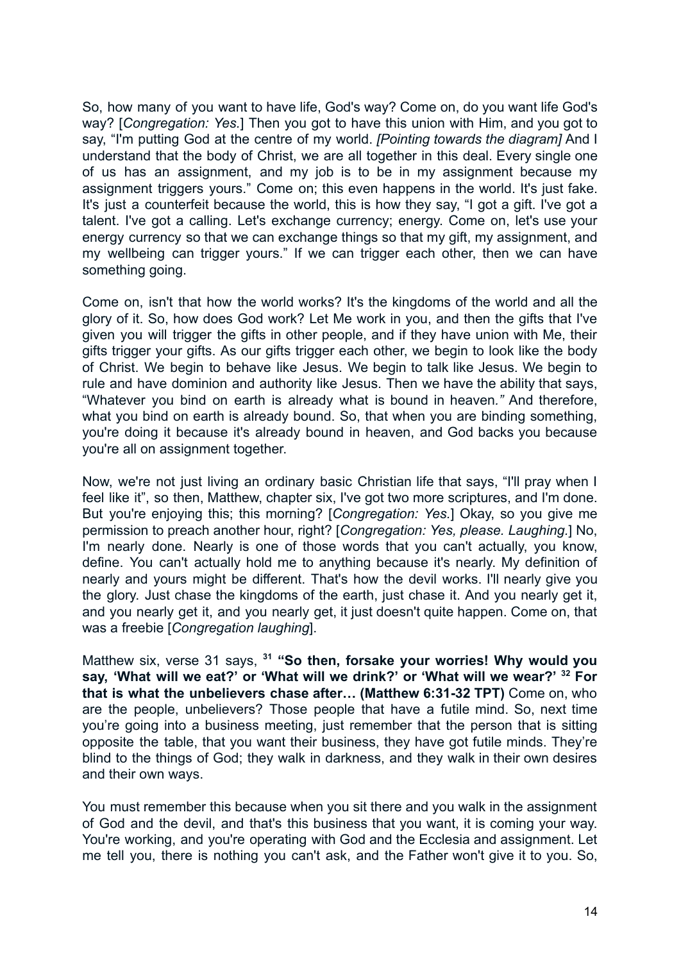So, how many of you want to have life, God's way? Come on, do you want life God's way? [*Congregation: Yes.*] Then you got to have this union with Him, and you got to say, "I'm putting God at the centre of my world. *[Pointing towards the diagram]* And I understand that the body of Christ, we are all together in this deal. Every single one of us has an assignment, and my job is to be in my assignment because my assignment triggers yours." Come on; this even happens in the world. It's just fake. It's just a counterfeit because the world, this is how they say, "I got a gift. I've got a talent. I've got a calling. Let's exchange currency; energy. Come on, let's use your energy currency so that we can exchange things so that my gift, my assignment, and my wellbeing can trigger yours." If we can trigger each other, then we can have something going.

Come on, isn't that how the world works? It's the kingdoms of the world and all the glory of it. So, how does God work? Let Me work in you, and then the gifts that I've given you will trigger the gifts in other people, and if they have union with Me, their gifts trigger your gifts. As our gifts trigger each other, we begin to look like the body of Christ. We begin to behave like Jesus. We begin to talk like Jesus. We begin to rule and have dominion and authority like Jesus. Then we have the ability that says, "Whatever you bind on earth is already what is bound in heaven*."* And therefore, what you bind on earth is already bound. So, that when you are binding something, you're doing it because it's already bound in heaven, and God backs you because you're all on assignment together.

Now, we're not just living an ordinary basic Christian life that says, "I'll pray when I feel like it", so then, Matthew, chapter six, I've got two more scriptures, and I'm done. But you're enjoying this; this morning? [*Congregation: Yes.*] Okay, so you give me permission to preach another hour, right? [*Congregation: Yes, please. Laughing.*] No, I'm nearly done. Nearly is one of those words that you can't actually, you know, define. You can't actually hold me to anything because it's nearly. My definition of nearly and yours might be different. That's how the devil works. I'll nearly give you the glory. Just chase the kingdoms of the earth, just chase it. And you nearly get it, and you nearly get it, and you nearly get, it just doesn't quite happen. Come on, that was a freebie [*Congregation laughing*].

Matthew six, verse 31 says, **<sup>31</sup> "So then, forsake your worries! Why would you say, 'What will we eat?' or 'What will we drink?' or 'What will we wear?' <sup>32</sup> For that is what the unbelievers chase after… (Matthew 6:31-32 TPT)** Come on, who are the people, unbelievers? Those people that have a futile mind. So, next time you're going into a business meeting, just remember that the person that is sitting opposite the table, that you want their business, they have got futile minds. They're blind to the things of God; they walk in darkness, and they walk in their own desires and their own ways.

You must remember this because when you sit there and you walk in the assignment of God and the devil, and that's this business that you want, it is coming your way. You're working, and you're operating with God and the Ecclesia and assignment. Let me tell you, there is nothing you can't ask, and the Father won't give it to you. So,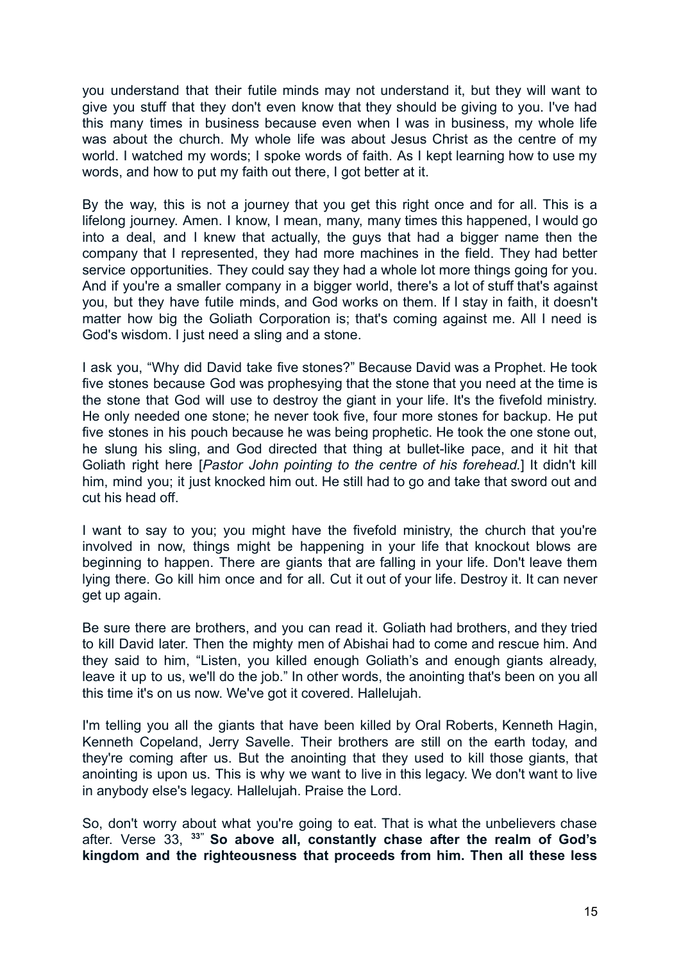you understand that their futile minds may not understand it, but they will want to give you stuff that they don't even know that they should be giving to you. I've had this many times in business because even when I was in business, my whole life was about the church. My whole life was about Jesus Christ as the centre of my world. I watched my words; I spoke words of faith. As I kept learning how to use my words, and how to put my faith out there. I got better at it.

By the way, this is not a journey that you get this right once and for all. This is a lifelong journey. Amen. I know, I mean, many, many times this happened, I would go into a deal, and I knew that actually, the guys that had a bigger name then the company that I represented, they had more machines in the field. They had better service opportunities. They could say they had a whole lot more things going for you. And if you're a smaller company in a bigger world, there's a lot of stuff that's against you, but they have futile minds, and God works on them. If I stay in faith, it doesn't matter how big the Goliath Corporation is; that's coming against me. All I need is God's wisdom. I just need a sling and a stone.

I ask you, "Why did David take five stones?" Because David was a Prophet. He took five stones because God was prophesying that the stone that you need at the time is the stone that God will use to destroy the giant in your life. It's the fivefold ministry. He only needed one stone; he never took five, four more stones for backup. He put five stones in his pouch because he was being prophetic. He took the one stone out, he slung his sling, and God directed that thing at bullet-like pace, and it hit that Goliath right here [*Pastor John pointing to the centre of his forehead.*] It didn't kill him, mind you; it just knocked him out. He still had to go and take that sword out and cut his head off.

I want to say to you; you might have the fivefold ministry, the church that you're involved in now, things might be happening in your life that knockout blows are beginning to happen. There are giants that are falling in your life. Don't leave them lying there. Go kill him once and for all. Cut it out of your life. Destroy it. It can never get up again.

Be sure there are brothers, and you can read it. Goliath had brothers, and they tried to kill David later. Then the mighty men of Abishai had to come and rescue him. And they said to him, "Listen, you killed enough Goliath's and enough giants already, leave it up to us, we'll do the job." In other words, the anointing that's been on you all this time it's on us now. We've got it covered. Hallelujah.

I'm telling you all the giants that have been killed by Oral Roberts, Kenneth Hagin, Kenneth Copeland, Jerry Savelle. Their brothers are still on the earth today, and they're coming after us. But the anointing that they used to kill those giants, that anointing is upon us. This is why we want to live in this legacy. We don't want to live in anybody else's legacy. Hallelujah. Praise the Lord.

So, don't worry about what you're going to eat. That is what the unbelievers chase after. Verse 33, **33" So above all, constantly chase after the realm of God's kingdom and the righteousness that proceeds from him. Then all these less**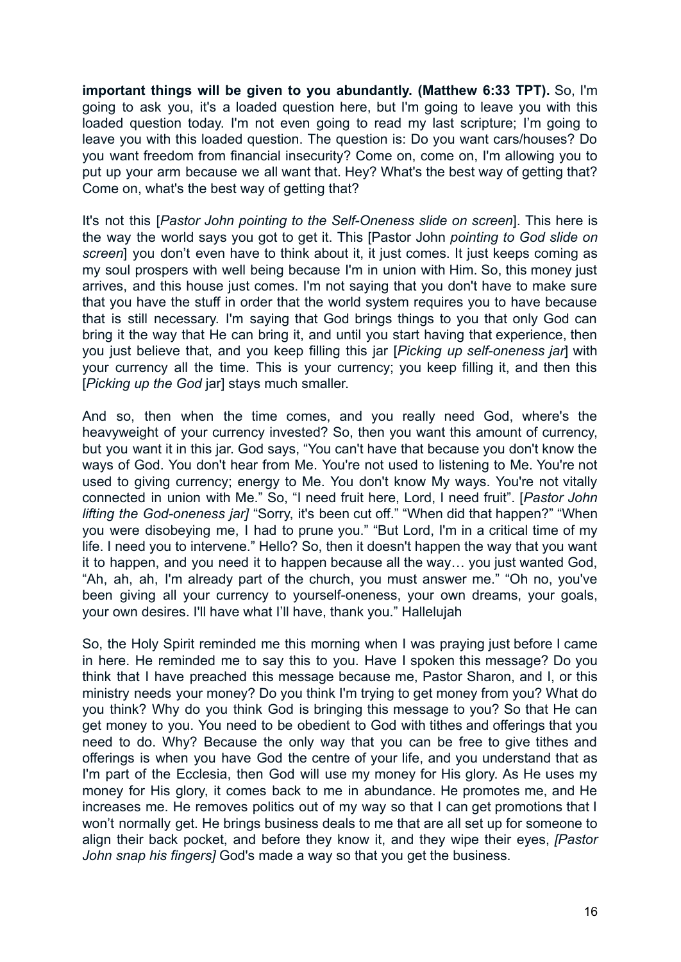**important things will be given to you abundantly. (Matthew 6:33 TPT).** So, I'm going to ask you, it's a loaded question here, but I'm going to leave you with this loaded question today. I'm not even going to read my last scripture; I'm going to leave you with this loaded question. The question is: Do you want cars/houses? Do you want freedom from financial insecurity? Come on, come on, I'm allowing you to put up your arm because we all want that. Hey? What's the best way of getting that? Come on, what's the best way of getting that?

It's not this [*Pastor John pointing to the Self-Oneness slide on screen*]. This here is the way the world says you got to get it. This [Pastor John *pointing to God slide on screen*] you don't even have to think about it, it just comes. It just keeps coming as my soul prospers with well being because I'm in union with Him. So, this money just arrives, and this house just comes. I'm not saying that you don't have to make sure that you have the stuff in order that the world system requires you to have because that is still necessary. I'm saying that God brings things to you that only God can bring it the way that He can bring it, and until you start having that experience, then you just believe that, and you keep filling this jar [*Picking up self-oneness jar*] with your currency all the time. This is your currency; you keep filling it, and then this [*Picking up the God* jar] stays much smaller.

And so, then when the time comes, and you really need God, where's the heavyweight of your currency invested? So, then you want this amount of currency, but you want it in this jar. God says, "You can't have that because you don't know the ways of God. You don't hear from Me. You're not used to listening to Me. You're not used to giving currency; energy to Me. You don't know My ways. You're not vitally connected in union with Me." So, "I need fruit here, Lord, I need fruit". [*Pastor John lifting the God-oneness jar]* "Sorry, it's been cut off." "When did that happen?" "When you were disobeying me, I had to prune you." "But Lord, I'm in a critical time of my life. I need you to intervene." Hello? So, then it doesn't happen the way that you want it to happen, and you need it to happen because all the way… you just wanted God, "Ah, ah, ah, I'm already part of the church, you must answer me." "Oh no, you've been giving all your currency to yourself-oneness, your own dreams, your goals, your own desires. I'll have what I'll have, thank you." Hallelujah

So, the Holy Spirit reminded me this morning when I was praying just before I came in here. He reminded me to say this to you. Have I spoken this message? Do you think that I have preached this message because me, Pastor Sharon, and I, or this ministry needs your money? Do you think I'm trying to get money from you? What do you think? Why do you think God is bringing this message to you? So that He can get money to you. You need to be obedient to God with tithes and offerings that you need to do. Why? Because the only way that you can be free to give tithes and offerings is when you have God the centre of your life, and you understand that as I'm part of the Ecclesia, then God will use my money for His glory. As He uses my money for His glory, it comes back to me in abundance. He promotes me, and He increases me. He removes politics out of my way so that I can get promotions that I won't normally get. He brings business deals to me that are all set up for someone to align their back pocket, and before they know it, and they wipe their eyes, *[Pastor John snap his fingers]* God's made a way so that you get the business.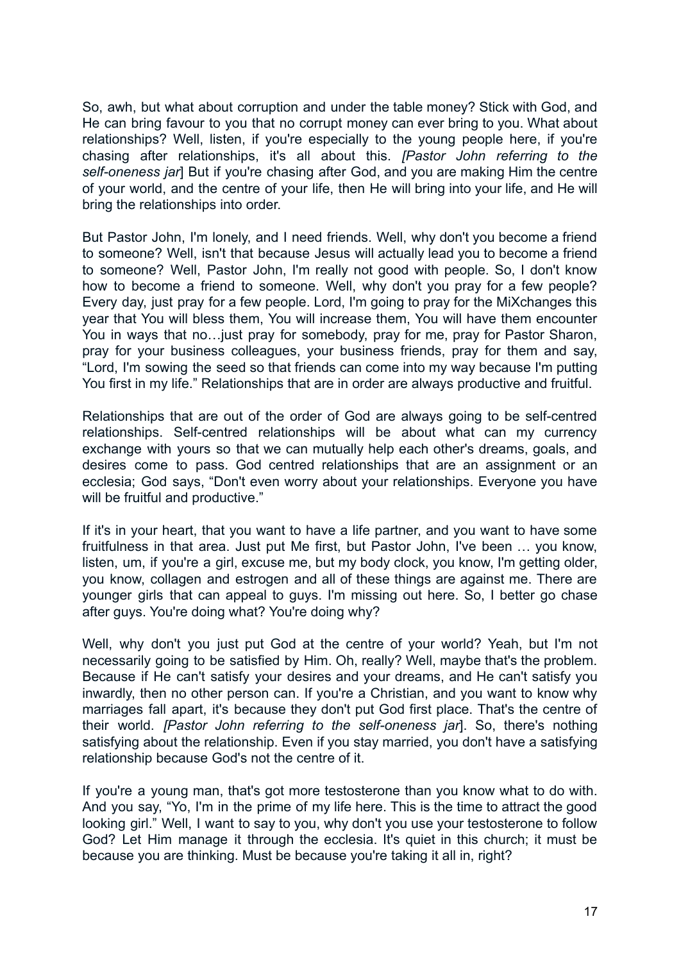So, awh, but what about corruption and under the table money? Stick with God, and He can bring favour to you that no corrupt money can ever bring to you. What about relationships? Well, listen, if you're especially to the young people here, if you're chasing after relationships, it's all about this. *[Pastor John referring to the self-oneness jar*] But if you're chasing after God, and you are making Him the centre of your world, and the centre of your life, then He will bring into your life, and He will bring the relationships into order.

But Pastor John, I'm lonely, and I need friends. Well, why don't you become a friend to someone? Well, isn't that because Jesus will actually lead you to become a friend to someone? Well, Pastor John, I'm really not good with people. So, I don't know how to become a friend to someone. Well, why don't you pray for a few people? Every day, just pray for a few people. Lord, I'm going to pray for the MiXchanges this year that You will bless them, You will increase them, You will have them encounter You in ways that no…just pray for somebody, pray for me, pray for Pastor Sharon, pray for your business colleagues, your business friends, pray for them and say, "Lord, I'm sowing the seed so that friends can come into my way because I'm putting You first in my life." Relationships that are in order are always productive and fruitful.

Relationships that are out of the order of God are always going to be self-centred relationships. Self-centred relationships will be about what can my currency exchange with yours so that we can mutually help each other's dreams, goals, and desires come to pass. God centred relationships that are an assignment or an ecclesia; God says, "Don't even worry about your relationships. Everyone you have will be fruitful and productive."

If it's in your heart, that you want to have a life partner, and you want to have some fruitfulness in that area. Just put Me first, but Pastor John, I've been … you know, listen, um, if you're a girl, excuse me, but my body clock, you know, I'm getting older, you know, collagen and estrogen and all of these things are against me. There are younger girls that can appeal to guys. I'm missing out here. So, I better go chase after guys. You're doing what? You're doing why?

Well, why don't you just put God at the centre of your world? Yeah, but I'm not necessarily going to be satisfied by Him. Oh, really? Well, maybe that's the problem. Because if He can't satisfy your desires and your dreams, and He can't satisfy you inwardly, then no other person can. If you're a Christian, and you want to know why marriages fall apart, it's because they don't put God first place. That's the centre of their world. *[Pastor John referring to the self-oneness jar*]. So, there's nothing satisfying about the relationship. Even if you stay married, you don't have a satisfying relationship because God's not the centre of it.

If you're a young man, that's got more testosterone than you know what to do with. And you say, "Yo, I'm in the prime of my life here. This is the time to attract the good looking girl." Well, I want to say to you, why don't you use your testosterone to follow God? Let Him manage it through the ecclesia. It's quiet in this church; it must be because you are thinking. Must be because you're taking it all in, right?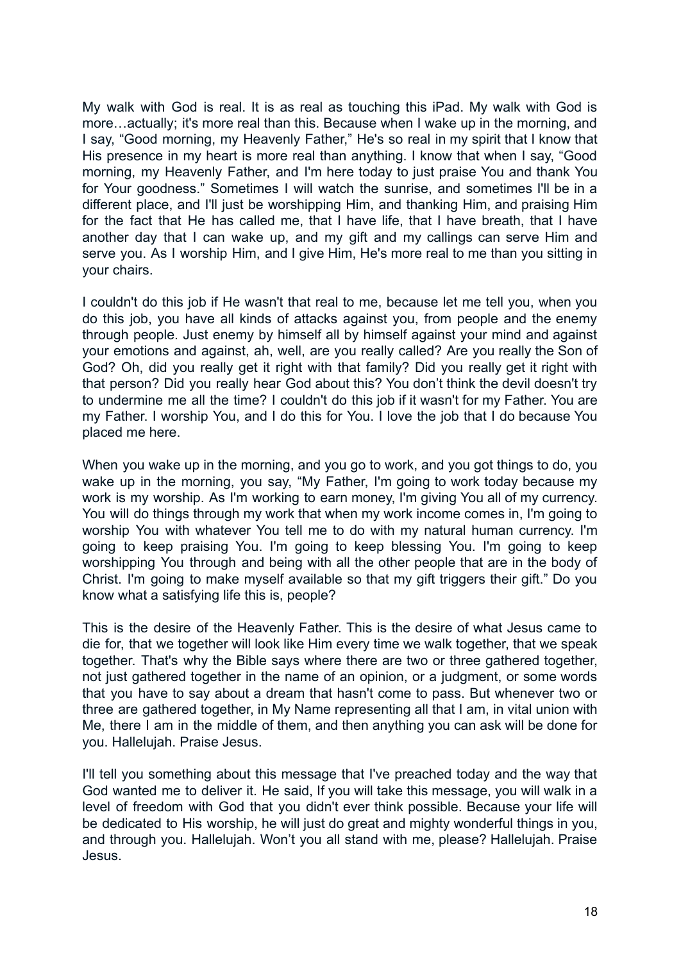My walk with God is real. It is as real as touching this iPad. My walk with God is more…actually; it's more real than this. Because when I wake up in the morning, and I say, "Good morning, my Heavenly Father," He's so real in my spirit that I know that His presence in my heart is more real than anything. I know that when I say, "Good morning, my Heavenly Father, and I'm here today to just praise You and thank You for Your goodness." Sometimes I will watch the sunrise, and sometimes I'll be in a different place, and I'll just be worshipping Him, and thanking Him, and praising Him for the fact that He has called me, that I have life, that I have breath, that I have another day that I can wake up, and my gift and my callings can serve Him and serve you. As I worship Him, and I give Him, He's more real to me than you sitting in your chairs.

I couldn't do this job if He wasn't that real to me, because let me tell you, when you do this job, you have all kinds of attacks against you, from people and the enemy through people. Just enemy by himself all by himself against your mind and against your emotions and against, ah, well, are you really called? Are you really the Son of God? Oh, did you really get it right with that family? Did you really get it right with that person? Did you really hear God about this? You don't think the devil doesn't try to undermine me all the time? I couldn't do this job if it wasn't for my Father. You are my Father. I worship You, and I do this for You. I love the job that I do because You placed me here.

When you wake up in the morning, and you go to work, and you got things to do, you wake up in the morning, you say, "My Father, I'm going to work today because my work is my worship. As I'm working to earn money, I'm giving You all of my currency. You will do things through my work that when my work income comes in, I'm going to worship You with whatever You tell me to do with my natural human currency. I'm going to keep praising You. I'm going to keep blessing You. I'm going to keep worshipping You through and being with all the other people that are in the body of Christ. I'm going to make myself available so that my gift triggers their gift." Do you know what a satisfying life this is, people?

This is the desire of the Heavenly Father. This is the desire of what Jesus came to die for, that we together will look like Him every time we walk together, that we speak together. That's why the Bible says where there are two or three gathered together, not just gathered together in the name of an opinion, or a judgment, or some words that you have to say about a dream that hasn't come to pass. But whenever two or three are gathered together, in My Name representing all that I am, in vital union with Me, there I am in the middle of them, and then anything you can ask will be done for you. Hallelujah. Praise Jesus.

I'll tell you something about this message that I've preached today and the way that God wanted me to deliver it. He said, If you will take this message, you will walk in a level of freedom with God that you didn't ever think possible. Because your life will be dedicated to His worship, he will just do great and mighty wonderful things in you, and through you. Hallelujah. Won't you all stand with me, please? Hallelujah. Praise Jesus.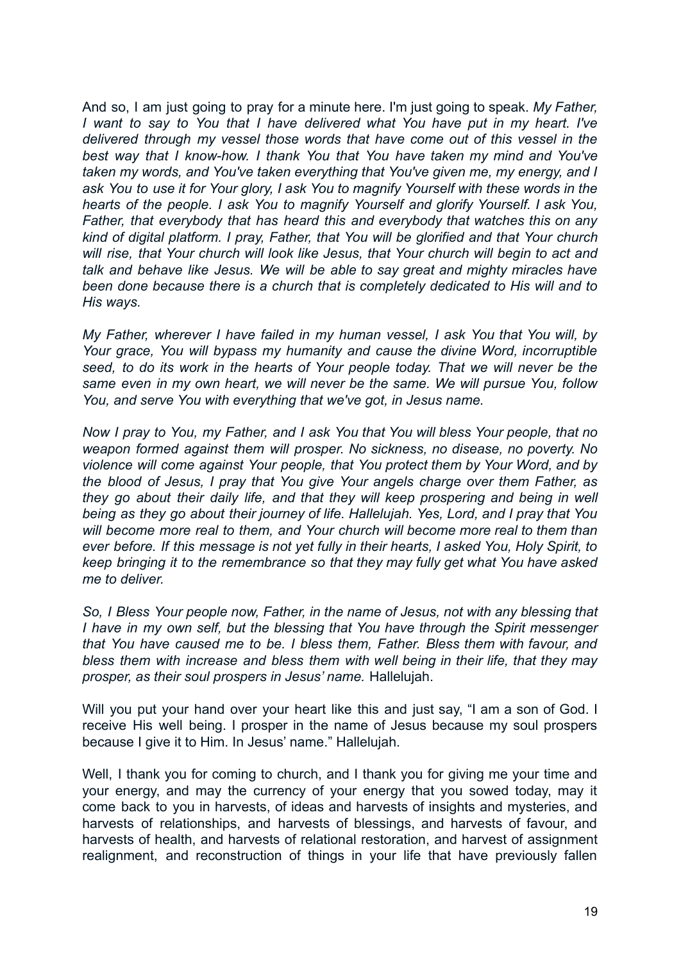And so, I am just going to pray for a minute here. I'm just going to speak. *My Father, I want to say to You that I have delivered what You have put in my heart. I've delivered through my vessel those words that have come out of this vessel in the best way that I know-how. I thank You that You have taken my mind and You've taken my words, and You've taken everything that You've given me, my energy, and I ask You to use it for Your glory, I ask You to magnify Yourself with these words in the hearts of the people. I ask You to magnify Yourself and glorify Yourself. I ask You, Father, that everybody that has heard this and everybody that watches this on any kind of digital platform. I pray, Father, that You will be glorified and that Your church will rise, that Your church will look like Jesus, that Your church will begin to act and talk and behave like Jesus. We will be able to say great and mighty miracles have been done because there is a church that is completely dedicated to His will and to His ways.*

*My Father, wherever I have failed in my human vessel, I ask You that You will, by Your grace, You will bypass my humanity and cause the divine Word, incorruptible seed, to do its work in the hearts of Your people today. That we will never be the same even in my own heart, we will never be the same. We will pursue You, follow You, and serve You with everything that we've got, in Jesus name.*

*Now I pray to You, my Father, and I ask You that You will bless Your people, that no weapon formed against them will prosper. No sickness, no disease, no poverty. No violence will come against Your people, that You protect them by Your Word, and by the blood of Jesus, I pray that You give Your angels charge over them Father, as they go about their daily life, and that they will keep prospering and being in well being as they go about their journey of life. Hallelujah. Yes, Lord, and I pray that You will become more real to them, and Your church will become more real to them than ever before. If this message is not yet fully in their hearts, I asked You, Holy Spirit, to keep bringing it to the remembrance so that they may fully get what You have asked me to deliver.*

*So, I Bless Your people now, Father, in the name of Jesus, not with any blessing that I have in my own self, but the blessing that You have through the Spirit messenger that You have caused me to be. I bless them, Father. Bless them with favour, and bless them with increase and bless them with well being in their life, that they may prosper, as their soul prospers in Jesus' name.* Hallelujah.

Will you put your hand over your heart like this and just say, "I am a son of God. I receive His well being. I prosper in the name of Jesus because my soul prospers because I give it to Him. In Jesus' name." Hallelujah.

Well, I thank you for coming to church, and I thank you for giving me your time and your energy, and may the currency of your energy that you sowed today, may it come back to you in harvests, of ideas and harvests of insights and mysteries, and harvests of relationships, and harvests of blessings, and harvests of favour, and harvests of health, and harvests of relational restoration, and harvest of assignment realignment, and reconstruction of things in your life that have previously fallen